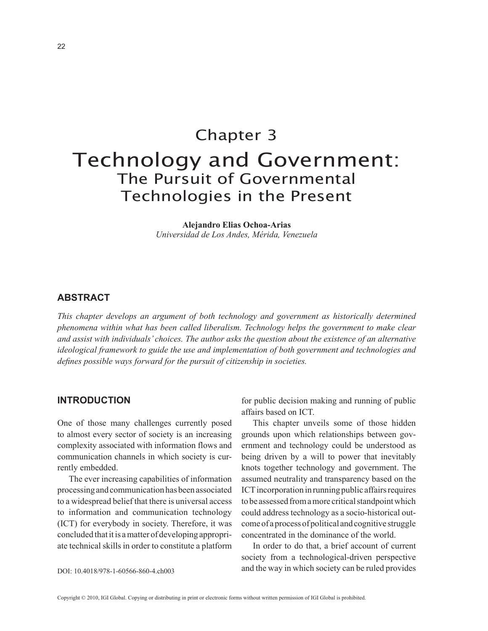22

# Chapter 3 Technology and Government: The Pursuit of Governmental Technologies in the Present

**Alejandro Elias Ochoa-Arias** *Universidad de Los Andes, Mérida, Venezuela*

## **ABSTRACT**

*This chapter develops an argument of both technology and government as historically determined phenomena within what has been called liberalism. Technology helps the government to make clear and assist with individuals' choices. The author asks the question about the existence of an alternative ideological framework to guide the use and implementation of both government and technologies and defines possible ways forward for the pursuit of citizenship in societies.*

## **INTRODUCTION**

One of those many challenges currently posed to almost every sector of society is an increasing complexity associated with information flows and communication channels in which society is currently embedded.

The ever increasing capabilities of information processing and communication has been associated to a widespread belief that there is universal access to information and communication technology (ICT) for everybody in society. Therefore, it was concluded that it is a matter of developing appropriate technical skills in order to constitute a platform

for public decision making and running of public affairs based on ICT.

This chapter unveils some of those hidden grounds upon which relationships between government and technology could be understood as being driven by a will to power that inevitably knots together technology and government. The assumed neutrality and transparency based on the ICT incorporation in running public affairs requires to be assessed from a more critical standpoint which could address technology as a socio-historical outcome of a process of political and cognitive struggle concentrated in the dominance of the world.

In order to do that, a brief account of current society from a technological-driven perspective and the way in which society can be ruled provides

DOI: 10.4018/978-1-60566-860-4.ch003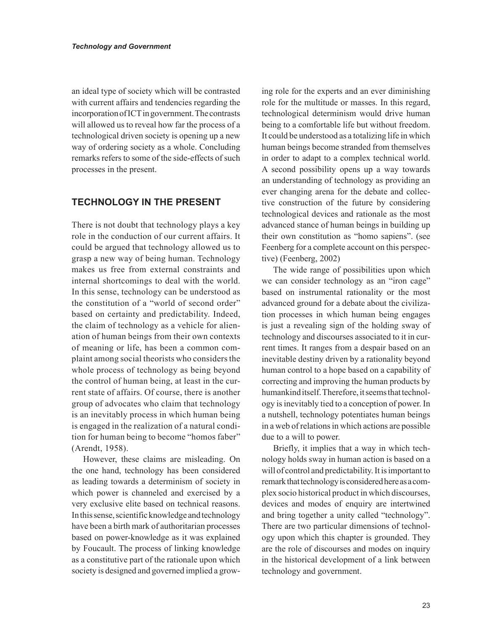an ideal type of society which will be contrasted with current affairs and tendencies regarding the incorporation of ICT in government. The contrasts will allowed us to reveal how far the process of a technological driven society is opening up a new way of ordering society as a whole. Concluding remarks refers to some of the side-effects of such processes in the present.

## **TECHNOLOGY IN THE PRESENT**

There is not doubt that technology plays a key role in the conduction of our current affairs. It could be argued that technology allowed us to grasp a new way of being human. Technology makes us free from external constraints and internal shortcomings to deal with the world. In this sense, technology can be understood as the constitution of a "world of second order" based on certainty and predictability. Indeed, the claim of technology as a vehicle for alienation of human beings from their own contexts of meaning or life, has been a common complaint among social theorists who considers the whole process of technology as being beyond the control of human being, at least in the current state of affairs. Of course, there is another group of advocates who claim that technology is an inevitably process in which human being is engaged in the realization of a natural condition for human being to become "homos faber" (Arendt, 1958).

However, these claims are misleading. On the one hand, technology has been considered as leading towards a determinism of society in which power is channeled and exercised by a very exclusive elite based on technical reasons. In this sense, scientific knowledge and technology have been a birth mark of authoritarian processes based on power-knowledge as it was explained by Foucault. The process of linking knowledge as a constitutive part of the rationale upon which society is designed and governed implied a growing role for the experts and an ever diminishing role for the multitude or masses. In this regard, technological determinism would drive human being to a comfortable life but without freedom. It could be understood as a totalizing life in which human beings become stranded from themselves in order to adapt to a complex technical world. A second possibility opens up a way towards an understanding of technology as providing an ever changing arena for the debate and collective construction of the future by considering technological devices and rationale as the most advanced stance of human beings in building up their own constitution as "homo sapiens". (see Feenberg for a complete account on this perspective) (Feenberg, 2002)

The wide range of possibilities upon which we can consider technology as an "iron cage" based on instrumental rationality or the most advanced ground for a debate about the civilization processes in which human being engages is just a revealing sign of the holding sway of technology and discourses associated to it in current times. It ranges from a despair based on an inevitable destiny driven by a rationality beyond human control to a hope based on a capability of correcting and improving the human products by humankind itself. Therefore, it seems that technology is inevitably tied to a conception of power. In a nutshell, technology potentiates human beings in a web of relations in which actions are possible due to a will to power.

Briefly, it implies that a way in which technology holds sway in human action is based on a will of control and predictability. It is important to remark that technology is considered here as a complex socio historical product in which discourses, devices and modes of enquiry are intertwined and bring together a unity called "technology". There are two particular dimensions of technology upon which this chapter is grounded. They are the role of discourses and modes on inquiry in the historical development of a link between technology and government.